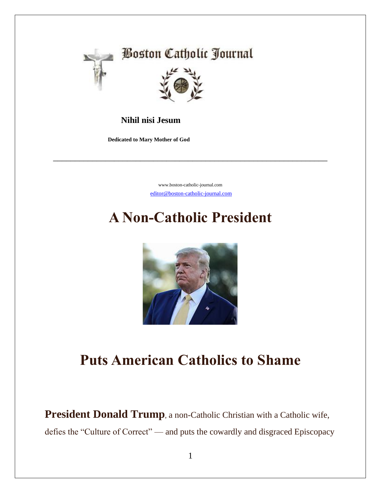

### **Nihil nisi Jesum**

 **Dedicated to Mary Mother of God**

[www.boston-catholic-journal.com](http://www.boston-catholic-journal.com/) [editor@boston-catholic-journal.com](mailto:editor@boston-catholic-journal.com)

\_\_\_\_\_\_\_\_\_\_\_\_\_\_\_\_\_\_\_\_\_\_\_\_\_\_\_\_\_\_\_\_\_\_\_\_\_\_\_\_\_\_\_\_\_\_\_\_\_\_\_\_\_\_\_\_\_\_\_\_\_\_\_

## **A Non-Catholic President**



### **Puts American Catholics to Shame**

**President Donald Trump**, a non-Catholic Christian with a Catholic wife, defies the "Culture of Correct" — and puts the cowardly and disgraced Episcopacy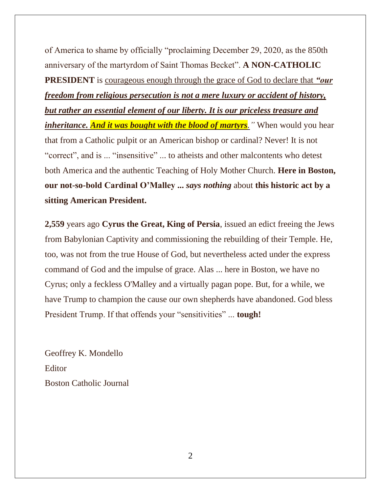of America to shame by officially "proclaiming December 29, 2020, as the 850th anniversary of the martyrdom of Saint Thomas Becket". **A NON-CATHOLIC PRESIDENT** is courageous enough through the grace of God to declare that *"our freedom from religious persecution is not a mere luxury or accident of history, but rather an essential element of our liberty. It is our priceless treasure and inheritance. And it was bought with the blood of martyrs.* "When would you hear that from a Catholic pulpit or an American bishop or cardinal? Never! It is not "correct", and is ... "insensitive" ... to atheists and other malcontents who detest both America and the authentic Teaching of Holy Mother Church. **Here in Boston, our not-so-bold Cardinal O'Malley ...** *says nothing* about **this historic act by a sitting American President.** 

**2,559** years ago **Cyrus the Great, King of Persia**, issued an edict freeing the Jews from Babylonian Captivity and commissioning the rebuilding of their Temple. He, too, was not from the true House of God, but nevertheless acted under the express command of God and the impulse of grace. Alas ... here in Boston, we have no Cyrus; only a feckless O'Malley and a virtually pagan pope. But, for a while, we have Trump to champion the cause our own shepherds have abandoned. God bless President Trump. If that offends your "sensitivities" ... **tough!**

Geoffrey K. Mondello **Editor** Boston Catholic Journal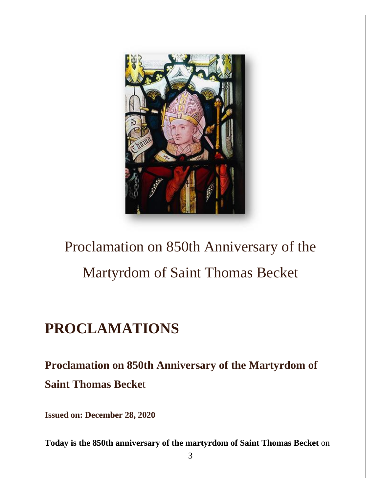

# Proclamation on 850th Anniversary of the Martyrdom of Saint Thomas Becket

# **PROCLAMATIONS**

### **Proclamation on 850th Anniversary of the Martyrdom of Saint Thomas Becke**t

**Issued on: December 28, 2020**

**Today is the 850th anniversary of the martyrdom of Saint Thomas Becket** on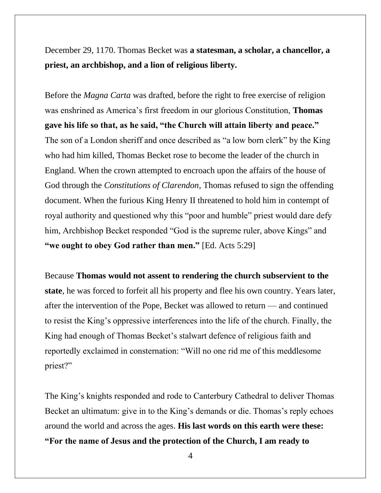December 29, 1170. Thomas Becket was **a statesman, a scholar, a chancellor, a priest, an archbishop, and a lion of religious liberty.**

Before the *Magna Carta* was drafted, before the right to free exercise of religion was enshrined as America's first freedom in our glorious Constitution, **Thomas gave his life so that, as he said, "the Church will attain liberty and peace."** The son of a London sheriff and once described as "a low born clerk" by the King who had him killed, Thomas Becket rose to become the leader of the church in England. When the crown attempted to encroach upon the affairs of the house of God through the *Constitutions of Clarendon*, Thomas refused to sign the offending document. When the furious King Henry II threatened to hold him in contempt of royal authority and questioned why this "poor and humble" priest would dare defy him, Archbishop Becket responded "God is the supreme ruler, above Kings" and **"we ought to obey God rather than men."** [Ed. Acts 5:29]

Because **Thomas would not assent to rendering the church subservient to the state**, he was forced to forfeit all his property and flee his own country. Years later, after the intervention of the Pope, Becket was allowed to return — and continued to resist the King's oppressive interferences into the life of the church. Finally, the King had enough of Thomas Becket's stalwart defence of religious faith and reportedly exclaimed in consternation: "Will no one rid me of this meddlesome priest?"

The King's knights responded and rode to Canterbury Cathedral to deliver Thomas Becket an ultimatum: give in to the King's demands or die. Thomas's reply echoes around the world and across the ages. **His last words on this earth were these: "For the name of Jesus and the protection of the Church, I am ready to** 

4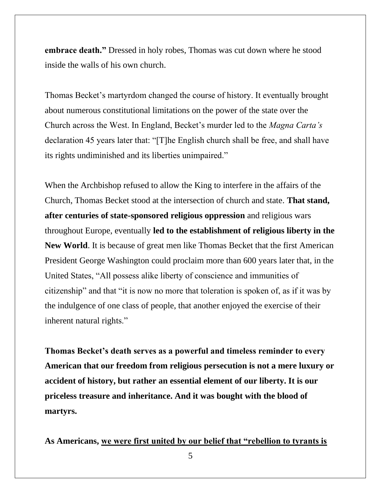**embrace death."** Dressed in holy robes, Thomas was cut down where he stood inside the walls of his own church.

Thomas Becket's martyrdom changed the course of history. It eventually brought about numerous constitutional limitations on the power of the state over the Church across the West. In England, Becket's murder led to the *Magna Carta's* declaration 45 years later that: "[T]he English church shall be free, and shall have its rights undiminished and its liberties unimpaired."

When the Archbishop refused to allow the King to interfere in the affairs of the Church, Thomas Becket stood at the intersection of church and state. **That stand, after centuries of state-sponsored religious oppression** and religious wars throughout Europe, eventually **led to the establishment of religious liberty in the New World**. It is because of great men like Thomas Becket that the first American President George Washington could proclaim more than 600 years later that, in the United States, "All possess alike liberty of conscience and immunities of citizenship" and that "it is now no more that toleration is spoken of, as if it was by the indulgence of one class of people, that another enjoyed the exercise of their inherent natural rights."

**Thomas Becket's death serves as a powerful and timeless reminder to every American that our freedom from religious persecution is not a mere luxury or accident of history, but rather an essential element of our liberty. It is our priceless treasure and inheritance. And it was bought with the blood of martyrs.**

**As Americans, we were first united by our belief that "rebellion to tyrants is** 

5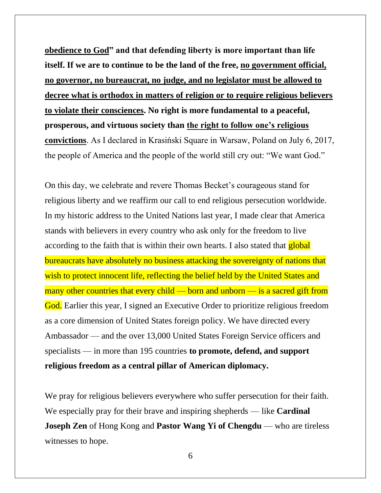**obedience to God" and that defending liberty is more important than life itself. If we are to continue to be the land of the free, no government official, no governor, no bureaucrat, no judge, and no legislator must be allowed to decree what is orthodox in matters of religion or to require religious believers to violate their consciences. No right is more fundamental to a peaceful, prosperous, and virtuous society than the right to follow one's religious convictions**. As I declared in Krasiński Square in Warsaw, Poland on July 6, 2017, the people of America and the people of the world still cry out: "We want God."

On this day, we celebrate and revere Thomas Becket's courageous stand for religious liberty and we reaffirm our call to end religious persecution worldwide. In my historic address to the United Nations last year, I made clear that America stands with believers in every country who ask only for the freedom to live according to the faith that is within their own hearts. I also stated that **global** bureaucrats have absolutely no business attacking the sovereignty of nations that wish to protect innocent life, reflecting the belief held by the United States and many other countries that every child — born and unborn — is a sacred gift from God. Earlier this year, I signed an Executive Order to prioritize religious freedom as a core dimension of United States foreign policy. We have directed every Ambassador — and the over 13,000 United States Foreign Service officers and specialists — in more than 195 countries **to promote, defend, and support religious freedom as a central pillar of American diplomacy.**

We pray for religious believers everywhere who suffer persecution for their faith. We especially pray for their brave and inspiring shepherds — like **Cardinal Joseph Zen** of Hong Kong and **Pastor Wang Yi of Chengdu** — who are tireless witnesses to hope.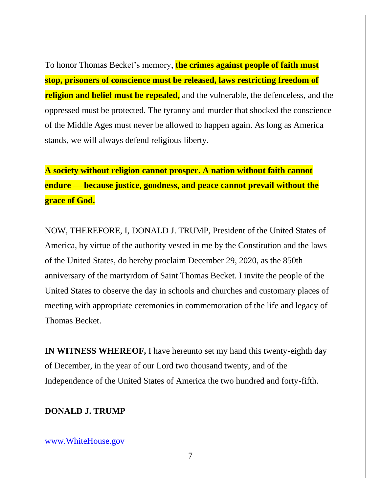To honor Thomas Becket's memory, **the crimes against people of faith must stop, prisoners of conscience must be released, laws restricting freedom of religion and belief must be repealed,** and the vulnerable, the defenceless, and the oppressed must be protected. The tyranny and murder that shocked the conscience of the Middle Ages must never be allowed to happen again. As long as America stands, we will always defend religious liberty.

**A society without religion cannot prosper. A nation without faith cannot endure — because justice, goodness, and peace cannot prevail without the grace of God.**

NOW, THEREFORE, I, DONALD J. TRUMP, President of the United States of America, by virtue of the authority vested in me by the Constitution and the laws of the United States, do hereby proclaim December 29, 2020, as the 850th anniversary of the martyrdom of Saint Thomas Becket. I invite the people of the United States to observe the day in schools and churches and customary places of meeting with appropriate ceremonies in commemoration of the life and legacy of Thomas Becket.

**IN WITNESS WHEREOF,** I have hereunto set my hand this twenty-eighth day of December, in the year of our Lord two thousand twenty, and of the Independence of the United States of America the two hundred and forty-fifth.

#### **DONALD J. TRUMP**

#### [www.WhiteHouse.gov](http://www.whitehouse.gov/)